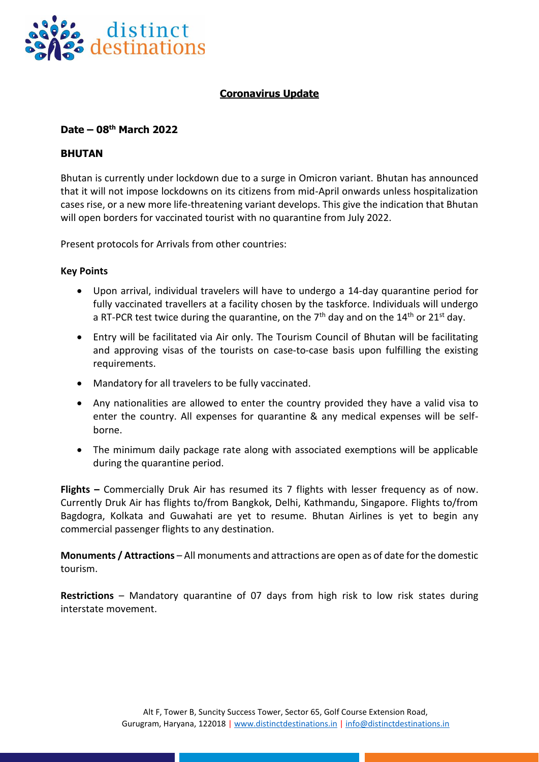

# **Coronavirus Update**

## **Date – 08 th March 2022**

### **BHUTAN**

Bhutan is currently under lockdown due to a surge in Omicron variant. Bhutan has announced that it will not impose lockdowns on its citizens from mid-April onwards unless hospitalization cases rise, or a new more life-threatening variant develops. This give the indication that Bhutan will open borders for vaccinated tourist with no quarantine from July 2022.

Present protocols for Arrivals from other countries:

#### **Key Points**

- Upon arrival, individual travelers will have to undergo a 14-day quarantine period for fully vaccinated travellers at a facility chosen by the taskforce. Individuals will undergo a RT-PCR test twice during the quarantine, on the  $7<sup>th</sup>$  day and on the  $14<sup>th</sup>$  or  $21<sup>st</sup>$  day.
- Entry will be facilitated via Air only. The Tourism Council of Bhutan will be facilitating and approving visas of the tourists on case-to-case basis upon fulfilling the existing requirements.
- Mandatory for all travelers to be fully vaccinated.
- Any nationalities are allowed to enter the country provided they have a valid visa to enter the country. All expenses for quarantine & any medical expenses will be selfborne.
- The minimum daily package rate along with associated exemptions will be applicable during the quarantine period.

**Flights –** Commercially Druk Air has resumed its 7 flights with lesser frequency as of now. Currently Druk Air has flights to/from Bangkok, Delhi, Kathmandu, Singapore. Flights to/from Bagdogra, Kolkata and Guwahati are yet to resume. Bhutan Airlines is yet to begin any commercial passenger flights to any destination.

**Monuments / Attractions** – All monuments and attractions are open as of date for the domestic tourism.

**Restrictions** – Mandatory quarantine of 07 days from high risk to low risk states during interstate movement.